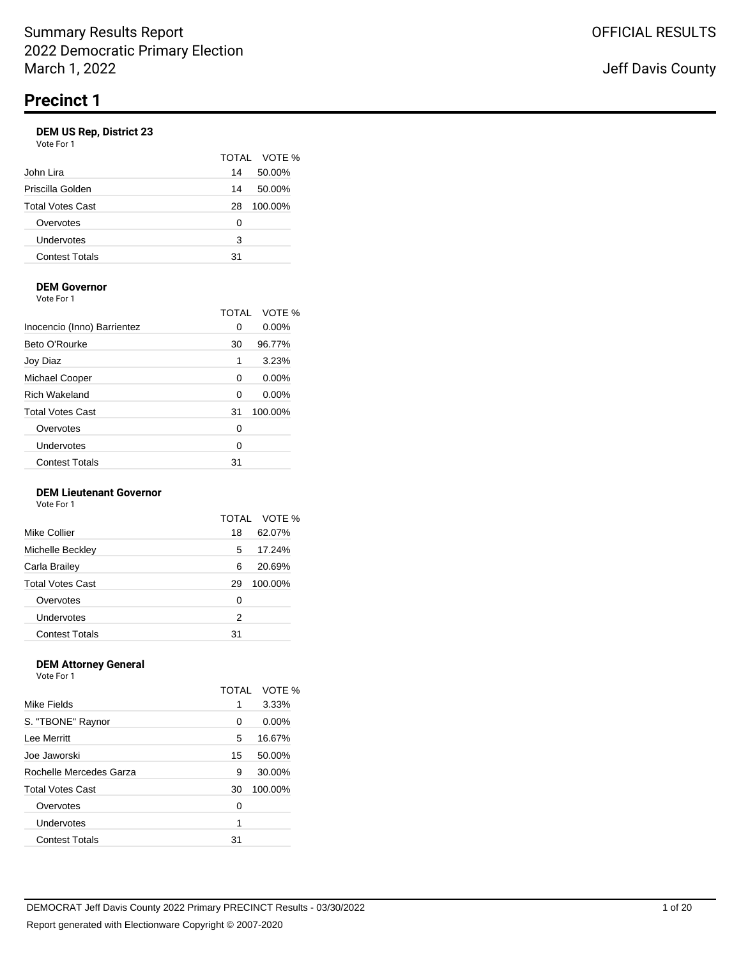|                         |    | TOTAL VOTE % |
|-------------------------|----|--------------|
| John Lira               | 14 | 50.00%       |
| Priscilla Golden        | 14 | 50.00%       |
| <b>Total Votes Cast</b> | 28 | 100.00%      |
| Overvotes               | Ω  |              |
| Undervotes              | 3  |              |
| <b>Contest Totals</b>   | 31 |              |
|                         |    |              |

# **DEM Governor**

Vote For 1

|                             | TOTAL | VOTE %   |
|-----------------------------|-------|----------|
| Inocencio (Inno) Barrientez | 0     | 0.00%    |
| Beto O'Rourke               | 30    | 96.77%   |
| Joy Diaz                    | 1     | 3.23%    |
| Michael Cooper              | 0     | $0.00\%$ |
| <b>Rich Wakeland</b>        | 0     | 0.00%    |
| <b>Total Votes Cast</b>     | 31    | 100.00%  |
| Overvotes                   | 0     |          |
| Undervotes                  | 0     |          |
| <b>Contest Totals</b>       | 31    |          |

### **DEM Lieutenant Governor**

Vote For 1

|                         | TOTAL | VOTE %  |
|-------------------------|-------|---------|
| Mike Collier            | 18    | 62.07%  |
| Michelle Beckley        | 5     | 17.24%  |
| Carla Brailey           | 6     | 20.69%  |
| <b>Total Votes Cast</b> | 29    | 100.00% |
| Overvotes               | 0     |         |
| Undervotes              | 2     |         |
| <b>Contest Totals</b>   | 31    |         |

#### **DEM Attorney General** Vote For 1

| .                       |       |         |
|-------------------------|-------|---------|
|                         | TOTAL | VOTE %  |
| Mike Fields             | 1     | 3.33%   |
| S. "TBONE" Raynor       | 0     | 0.00%   |
| Lee Merritt             | 5     | 16.67%  |
| Joe Jaworski            | 15    | 50.00%  |
| Rochelle Mercedes Garza | 9     | 30.00%  |
| <b>Total Votes Cast</b> | 30    | 100.00% |
| Overvotes               | 0     |         |
| Undervotes              | 1     |         |
| <b>Contest Totals</b>   | 31    |         |
|                         |       |         |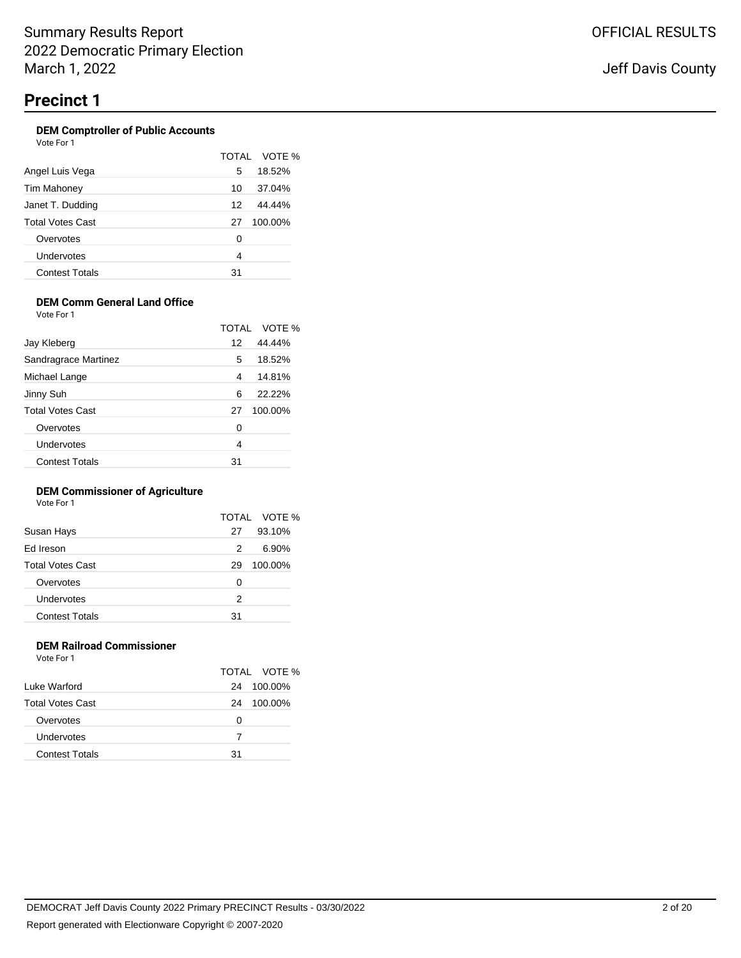#### **DEM Comptroller of Public Accounts** Vote For 1

| , , , , , , , , ,     |    |              |
|-----------------------|----|--------------|
|                       |    | TOTAL VOTE % |
| Angel Luis Vega       | 5  | 18.52%       |
| Tim Mahoney           | 10 | 37.04%       |
| Janet T. Dudding      | 12 | 44.44%       |
| Total Votes Cast      | 27 | 100.00%      |
| Overvotes             | 0  |              |
| Undervotes            | 4  |              |
| <b>Contest Totals</b> | 31 |              |

### **DEM Comm General Land Office**

Vote For 1

|                         | TOTAI | VOTE %    |
|-------------------------|-------|-----------|
| Jay Kleberg             | 12    | 44.44%    |
| Sandragrace Martinez    | 5     | 18.52%    |
| Michael Lange           | 4     | 14.81%    |
| Jinny Suh               | 6     | $22.22\%$ |
| <b>Total Votes Cast</b> | 27    | 100.00%   |
| Overvotes               | 0     |           |
| Undervotes              | 4     |           |
| <b>Contest Totals</b>   | 31    |           |

### **DEM Commissioner of Agriculture**

Vote For 1

|                         |    | TOTAL VOTE % |
|-------------------------|----|--------------|
| Susan Hays              | 27 | 93.10%       |
| Ed Ireson               | 2  | 6.90%        |
| <b>Total Votes Cast</b> | 29 | 100.00%      |
| Overvotes               | 0  |              |
| Undervotes              | 2  |              |
| <b>Contest Totals</b>   | 31 |              |
|                         |    |              |

### **DEM Railroad Commissioner** Vote For 1

|                         |    | TOTAL VOTE % |
|-------------------------|----|--------------|
| Luke Warford            | 24 | 100.00%      |
| <b>Total Votes Cast</b> | 24 | 100.00%      |
| Overvotes               | Ω  |              |
| Undervotes              | 7  |              |
| <b>Contest Totals</b>   | 31 |              |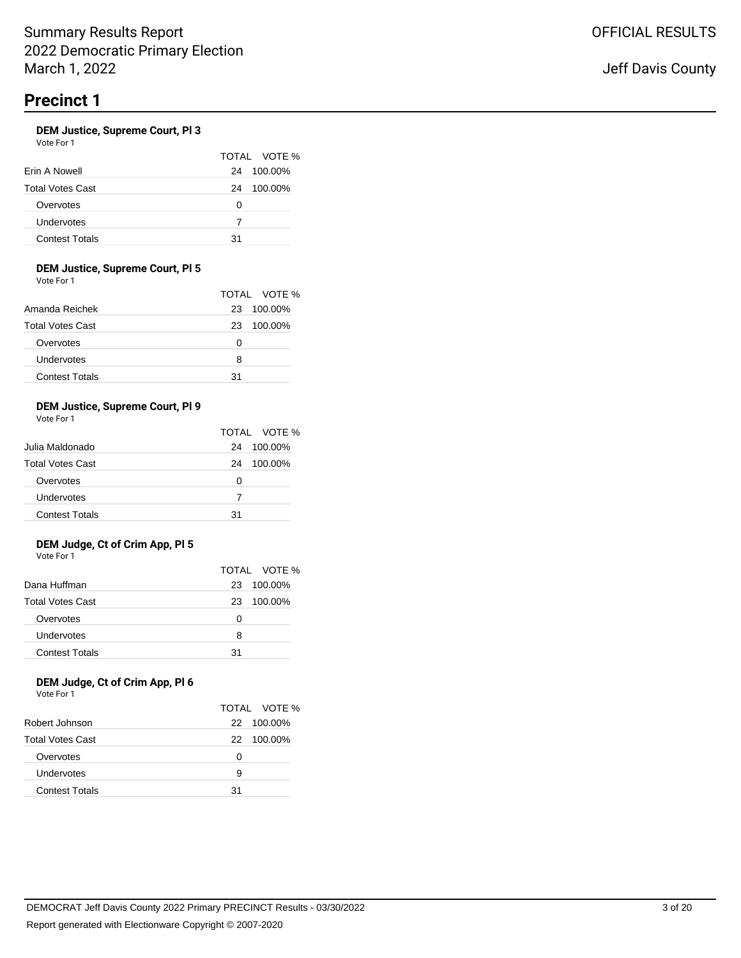### **DEM Justice, Supreme Court, Pl 3**

Vote For 1

|                         |    | TOTAL VOTE % |
|-------------------------|----|--------------|
| Erin A Nowell           | 24 | 100.00%      |
| <b>Total Votes Cast</b> | 24 | 100.00%      |
| Overvotes               | O  |              |
| Undervotes              | 7  |              |
| <b>Contest Totals</b>   | 31 |              |

### **DEM Justice, Supreme Court, Pl 5**

Vote For 1

|                         |    | TOTAL VOTE % |
|-------------------------|----|--------------|
| Amanda Reichek          | 23 | 100.00%      |
| <b>Total Votes Cast</b> | 23 | 100.00%      |
| Overvotes               | Ω  |              |
| Undervotes              | 8  |              |
| <b>Contest Totals</b>   | 31 |              |

### **DEM Justice, Supreme Court, Pl 9**

Vote For 1

|                         |    | TOTAL VOTE % |
|-------------------------|----|--------------|
| Julia Maldonado         | 24 | 100.00%      |
| <b>Total Votes Cast</b> | 24 | 100.00%      |
| Overvotes               | O  |              |
| Undervotes              | 7  |              |
| <b>Contest Totals</b>   | 31 |              |

### **DEM Judge, Ct of Crim App, Pl 5** Vote For 1

|                         |    | TOTAL VOTE % |
|-------------------------|----|--------------|
| Dana Huffman            | 23 | 100.00%      |
| <b>Total Votes Cast</b> | 23 | 100.00%      |
| Overvotes               | Ω  |              |
| Undervotes              | 8  |              |
| <b>Contest Totals</b>   | 31 |              |

### **DEM Judge, Ct of Crim App, Pl 6** Vote For 1

|                         |    | TOTAL VOTE % |
|-------------------------|----|--------------|
| Robert Johnson          |    | 22 100.00%   |
| <b>Total Votes Cast</b> |    | 22 100.00%   |
| Overvotes               | Ω  |              |
| Undervotes              | 9  |              |
| <b>Contest Totals</b>   | 31 |              |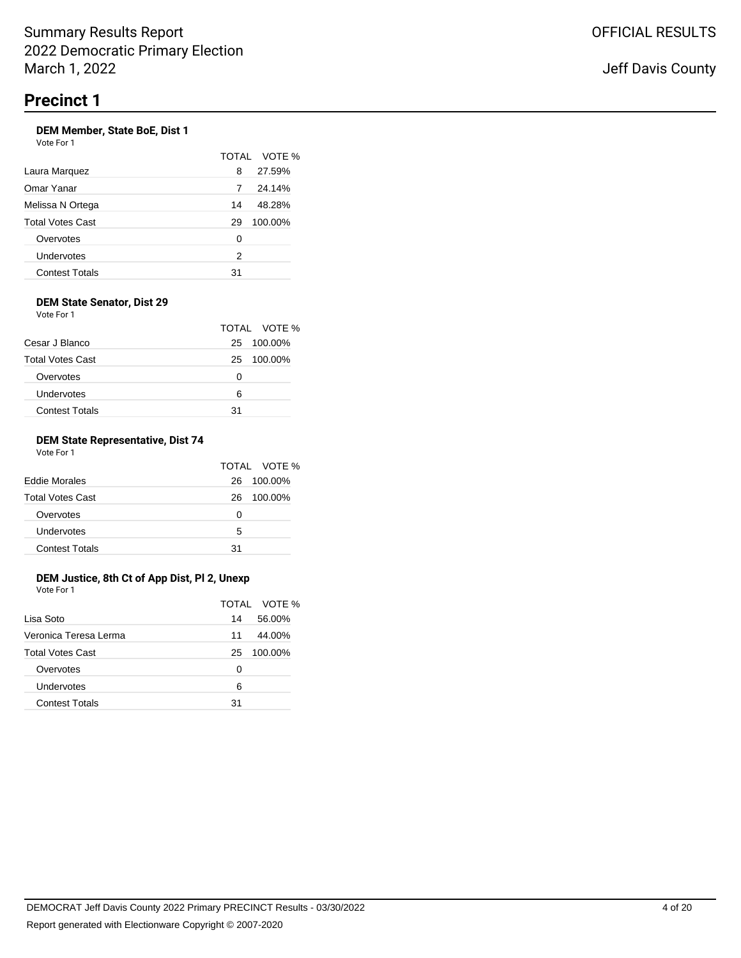### **DEM Member, State BoE, Dist 1** Vote For 1

|                       |    | TOTAL VOTE % |
|-----------------------|----|--------------|
| Laura Marquez         | 8  | 27.59%       |
| Omar Yanar            | 7  | 24.14%       |
| Melissa N Ortega      | 14 | 48.28%       |
| Total Votes Cast      | 29 | 100.00%      |
| Overvotes             | 0  |              |
| Undervotes            | 2  |              |
| <b>Contest Totals</b> | 31 |              |

### **DEM State Senator, Dist 29** Vote For 1

|                         |    | TOTAL VOTE % |
|-------------------------|----|--------------|
| Cesar J Blanco          | 25 | 100.00%      |
| <b>Total Votes Cast</b> | 25 | 100.00%      |
| Overvotes               | Ω  |              |
| Undervotes              | ี  |              |
| <b>Contest Totals</b>   | 31 |              |

### **DEM State Representative, Dist 74** Vote For 1

|                         |    | TOTAL VOTE % |
|-------------------------|----|--------------|
| <b>Eddie Morales</b>    | 26 | 100.00%      |
| <b>Total Votes Cast</b> | 26 | 100.00%      |
| Overvotes               | O  |              |
| Undervotes              | 5  |              |
| <b>Contest Totals</b>   | 31 |              |

# **DEM Justice, 8th Ct of App Dist, Pl 2, Unexp**

| Vote For 1              |    |              |
|-------------------------|----|--------------|
|                         |    | TOTAL VOTE % |
| Lisa Soto               | 14 | 56.00%       |
| Veronica Teresa Lerma   | 11 | 44.00%       |
| <b>Total Votes Cast</b> | 25 | 100.00%      |
| Overvotes               | Ω  |              |
| Undervotes              | 6  |              |
| <b>Contest Totals</b>   | 31 |              |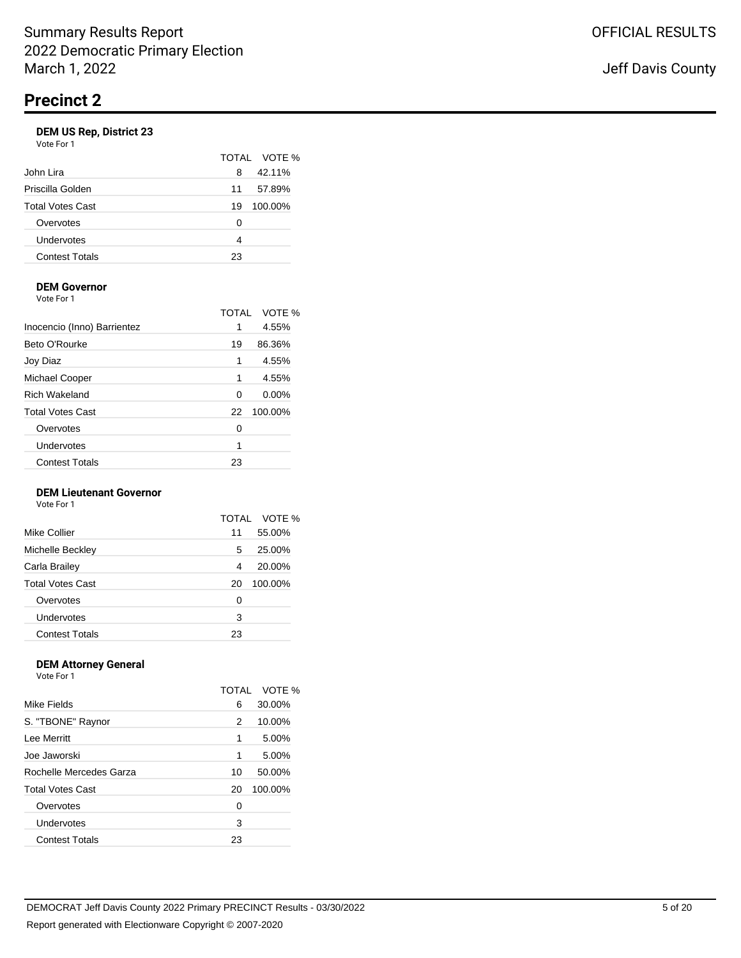|                         |    | TOTAL VOTE % |
|-------------------------|----|--------------|
| John Lira               | 8  | 42.11%       |
| Priscilla Golden        | 11 | 57.89%       |
| <b>Total Votes Cast</b> | 19 | 100.00%      |
| Overvotes               | O  |              |
| Undervotes              | 4  |              |
| <b>Contest Totals</b>   | 23 |              |
|                         |    |              |

# **DEM Governor**

Vote For 1

|                             | TOTAI | VOTE %   |
|-----------------------------|-------|----------|
| Inocencio (Inno) Barrientez | 1     | 4.55%    |
| Beto O'Rourke               | 19    | 86.36%   |
| Joy Diaz                    | 1     | 4.55%    |
| Michael Cooper              | 1     | 4.55%    |
| <b>Rich Wakeland</b>        | 0     | $0.00\%$ |
| <b>Total Votes Cast</b>     | 22    | 100.00%  |
| Overvotes                   | 0     |          |
| Undervotes                  | 1     |          |
| <b>Contest Totals</b>       | 23    |          |
|                             |       |          |

### **DEM Lieutenant Governor**

Vote For 1

|                         | TOTAI | VOTE %  |
|-------------------------|-------|---------|
| Mike Collier            | 11    | 55.00%  |
| Michelle Beckley        | 5     | 25.00%  |
| Carla Brailey           | 4     | 20.00%  |
| <b>Total Votes Cast</b> | 20    | 100.00% |
| Overvotes               | 0     |         |
| Undervotes              | 3     |         |
| <b>Contest Totals</b>   | 23    |         |

#### **DEM Attorney General** .<br>Fo

| VOLE FOI T              |       |         |
|-------------------------|-------|---------|
|                         | TOTAL | VOTE %  |
| Mike Fields             | 6     | 30.00%  |
| S. "TBONE" Raynor       | 2     | 10.00%  |
| Lee Merritt             | 1     | 5.00%   |
| Joe Jaworski            | 1     | 5.00%   |
| Rochelle Mercedes Garza | 10    | 50.00%  |
| <b>Total Votes Cast</b> | 20    | 100.00% |
| Overvotes               | 0     |         |
| Undervotes              | 3     |         |
| <b>Contest Totals</b>   | 23    |         |
|                         |       |         |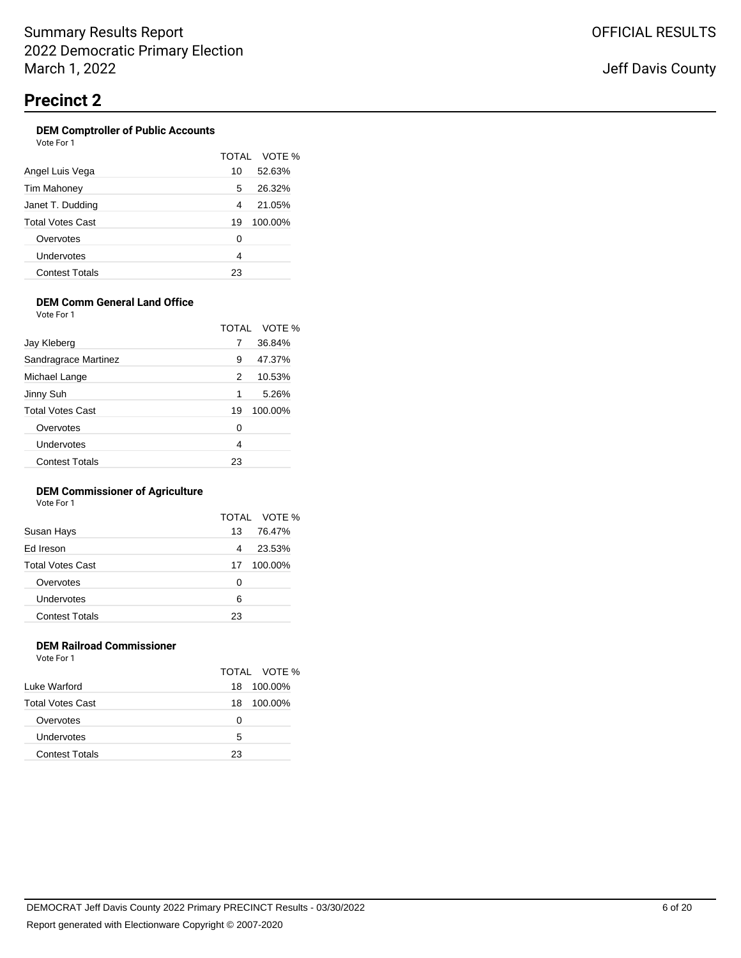### **DEM Comptroller of Public Accounts** Vote For 1

|                       |    | TOTAL VOTE % |
|-----------------------|----|--------------|
| Angel Luis Vega       | 10 | 52.63%       |
| Tim Mahoney           | 5  | 26.32%       |
| Janet T. Dudding      | 4  | 21.05%       |
| Total Votes Cast      | 19 | 100.00%      |
| Overvotes             | 0  |              |
| Undervotes            | 4  |              |
| <b>Contest Totals</b> | 23 |              |

# **DEM Comm General Land Office**

Vote For 1

|                         |    | TOTAL VOTE % |
|-------------------------|----|--------------|
| Jay Kleberg             | 7  | 36.84%       |
| Sandragrace Martinez    | 9  | 47.37%       |
| Michael Lange           | 2  | 10.53%       |
| Jinny Suh               | 1  | 5.26%        |
| <b>Total Votes Cast</b> | 19 | 100.00%      |
| Overvotes               | 0  |              |
| <b>Undervotes</b>       | 4  |              |
| <b>Contest Totals</b>   | 23 |              |

### **DEM Commissioner of Agriculture**

Vote For 1

|                         |    | TOTAL VOTE % |
|-------------------------|----|--------------|
| Susan Hays              | 13 | 76.47%       |
| Ed Ireson               | 4  | 23.53%       |
| <b>Total Votes Cast</b> | 17 | 100.00%      |
| Overvotes               | 0  |              |
| Undervotes              | 6  |              |
| <b>Contest Totals</b>   | 23 |              |
|                         |    |              |

### **DEM Railroad Commissioner** Vote For 1

|                         |    | TOTAL VOTE % |
|-------------------------|----|--------------|
| Luke Warford            | 18 | 100.00%      |
| <b>Total Votes Cast</b> | 18 | 100.00%      |
| Overvotes               | Ω  |              |
| Undervotes              | 5  |              |
| <b>Contest Totals</b>   | 23 |              |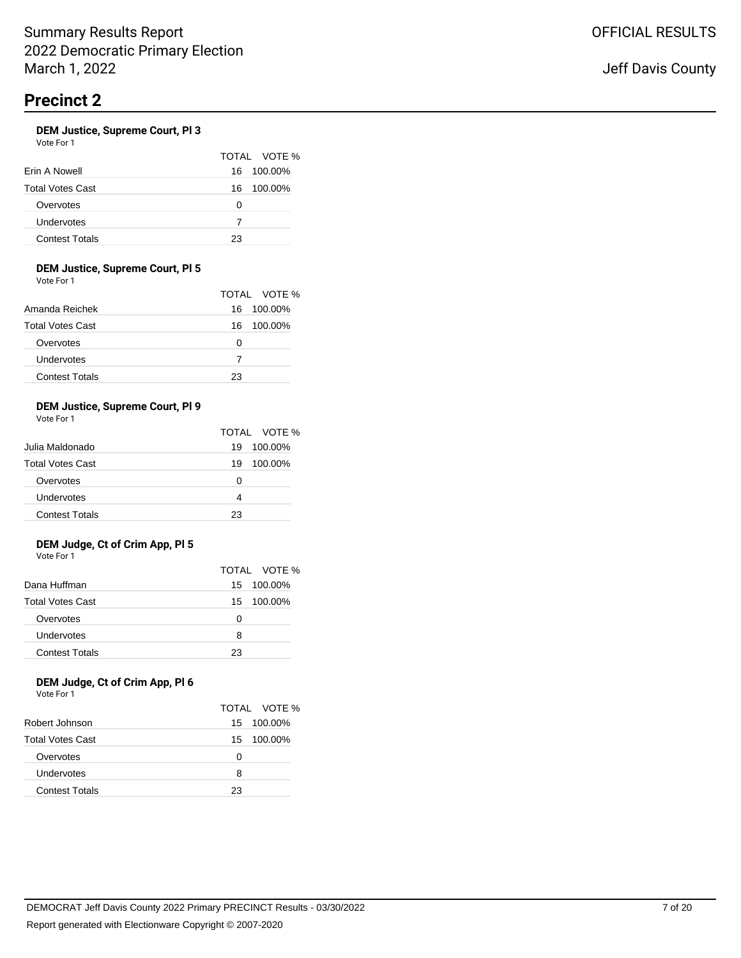### **DEM Justice, Supreme Court, Pl 3**

| Vote For 1 |  |  |
|------------|--|--|
|            |  |  |

|                         |     | TOTAL VOTE % |
|-------------------------|-----|--------------|
| Erin A Nowell           | 16. | 100.00%      |
| <b>Total Votes Cast</b> | 16  | 100.00%      |
| Overvotes               | 0   |              |
| Undervotes              | 7   |              |
| <b>Contest Totals</b>   | 23  |              |

### **DEM Justice, Supreme Court, Pl 5**

Vote For 1

|                         |    | TOTAL VOTE % |
|-------------------------|----|--------------|
| Amanda Reichek          | 16 | 100.00%      |
| <b>Total Votes Cast</b> | 16 | 100.00%      |
| Overvotes               | O  |              |
| Undervotes              | 7  |              |
| <b>Contest Totals</b>   | 23 |              |

### **DEM Justice, Supreme Court, Pl 9**

Vote For 1

|                         |    | TOTAL VOTE % |
|-------------------------|----|--------------|
| Julia Maldonado         | 19 | 100.00%      |
| <b>Total Votes Cast</b> | 19 | 100.00%      |
| Overvotes               | O  |              |
| Undervotes              | 4  |              |
| <b>Contest Totals</b>   | 23 |              |

### **DEM Judge, Ct of Crim App, Pl 5** Vote For 1

|                         |    | TOTAL VOTE % |
|-------------------------|----|--------------|
| Dana Huffman            |    | 15 100.00%   |
| <b>Total Votes Cast</b> |    | 15 100.00%   |
| Overvotes               | O  |              |
| Undervotes              | 8  |              |
| <b>Contest Totals</b>   | 23 |              |

### **DEM Judge, Ct of Crim App, Pl 6** Vote For 1

|                         |     | TOTAL VOTE % |
|-------------------------|-----|--------------|
| Robert Johnson          | 15. | 100.00%      |
| <b>Total Votes Cast</b> |     | 15 100.00%   |
| Overvotes               | Ω   |              |
| Undervotes              | 8   |              |
| <b>Contest Totals</b>   | 23  |              |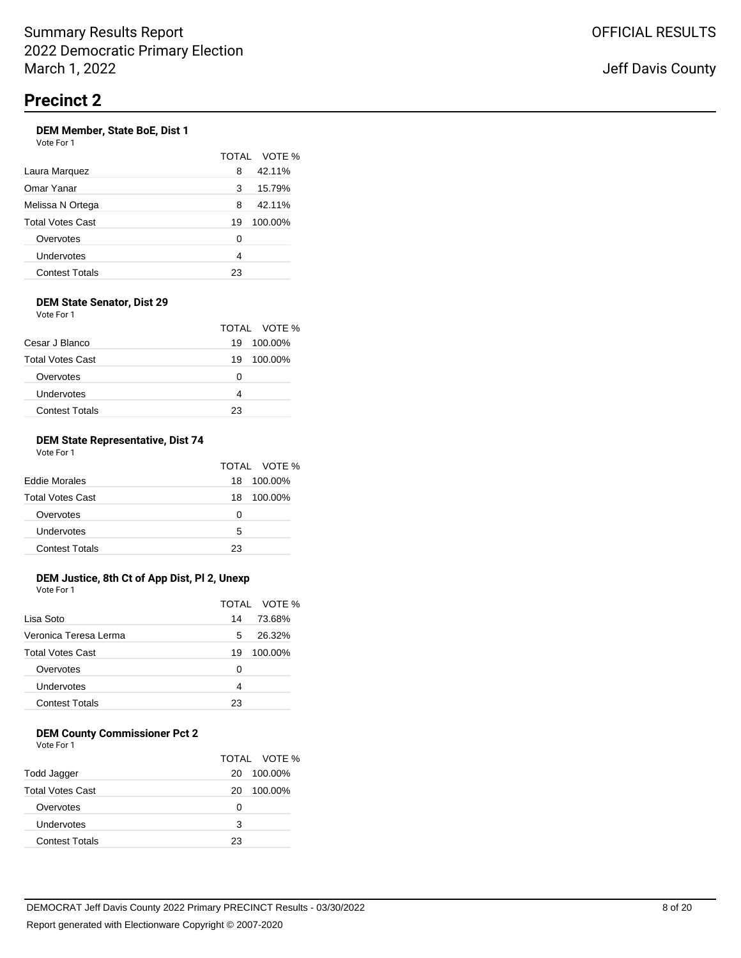### **DEM Member, State BoE, Dist 1** Vote For 1

|                       |    | TOTAL VOTE % |
|-----------------------|----|--------------|
| Laura Marquez         | 8  | 42.11%       |
| Omar Yanar            | 3  | 15.79%       |
| Melissa N Ortega      | 8  | 42.11%       |
| Total Votes Cast      | 19 | 100.00%      |
| Overvotes             | 0  |              |
| Undervotes            | 4  |              |
| <b>Contest Totals</b> | 23 |              |

#### **DEM State Senator, Dist 29** Vote For 1

| <b>VULLET UIL</b>       |               |  |
|-------------------------|---------------|--|
|                         | TOTAL VOTE %  |  |
| Cesar J Blanco          | 100.00%<br>19 |  |
| <b>Total Votes Cast</b> | 100.00%<br>19 |  |
| Overvotes               | 0             |  |
| Undervotes              | 4             |  |
| <b>Contest Totals</b>   | 23            |  |

### **DEM State Representative, Dist 74** Vote For 1

|                         |    | TOTAL VOTE % |
|-------------------------|----|--------------|
| <b>Eddie Morales</b>    | 18 | 100.00%      |
| <b>Total Votes Cast</b> | 18 | 100.00%      |
| Overvotes               | O  |              |
| Undervotes              | 5  |              |
| <b>Contest Totals</b>   | 23 |              |

# **DEM Justice, 8th Ct of App Dist, Pl 2, Unexp**

Vote For 1

|                         |    | TOTAL VOTE % |
|-------------------------|----|--------------|
| Lisa Soto               | 14 | 73.68%       |
| Veronica Teresa Lerma   | 5  | 26.32%       |
| <b>Total Votes Cast</b> | 19 | 100.00%      |
| Overvotes               | Ω  |              |
| Undervotes              | 4  |              |
| <b>Contest Totals</b>   | 23 |              |

### **DEM County Commissioner Pct 2**

Vote For 1

|                         |    | TOTAL VOTE % |
|-------------------------|----|--------------|
| Todd Jagger             | 20 | 100.00%      |
| <b>Total Votes Cast</b> | 20 | 100.00%      |
| Overvotes               | Ω  |              |
| Undervotes              | з  |              |
| <b>Contest Totals</b>   | 23 |              |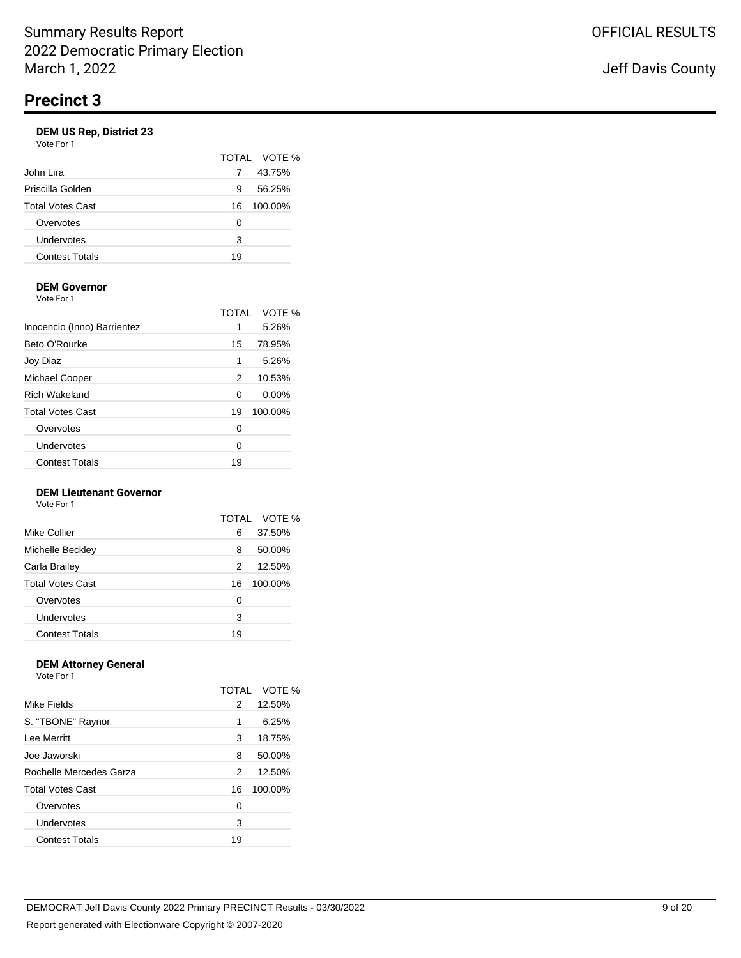|                         |    | TOTAL VOTE % |
|-------------------------|----|--------------|
| John Lira               |    | 43.75%       |
| Priscilla Golden        | 9  | 56.25%       |
| <b>Total Votes Cast</b> | 16 | 100.00%      |
| Overvotes               | Ω  |              |
| Undervotes              | 3  |              |
| <b>Contest Totals</b>   | 19 |              |

# **DEM Governor**

Vote For 1

|                             | TOTAL | VOTE %   |
|-----------------------------|-------|----------|
| Inocencio (Inno) Barrientez | 1     | 5.26%    |
| Beto O'Rourke               | 15    | 78.95%   |
| Joy Diaz                    | 1     | 5.26%    |
| Michael Cooper              | 2     | 10.53%   |
| <b>Rich Wakeland</b>        | 0     | $0.00\%$ |
| <b>Total Votes Cast</b>     | 19    | 100.00%  |
| Overvotes                   | 0     |          |
| Undervotes                  | 0     |          |
| <b>Contest Totals</b>       | 19    |          |

### **DEM Lieutenant Governor**

Vote For 1

|                         | TOTAL | VOTE %  |
|-------------------------|-------|---------|
| Mike Collier            | 6     | 37.50%  |
| Michelle Beckley        | 8     | 50.00%  |
| Carla Brailey           | 2     | 12.50%  |
| <b>Total Votes Cast</b> | 16    | 100.00% |
| Overvotes               | 0     |         |
| Undervotes              | 3     |         |
| <b>Contest Totals</b>   | 19    |         |

### **DEM Attorney General**

Vote For 1 TOTAL VOTE % Mike Fields 2 12.50% S. "TBONE" Raynor 1 6.25% Lee Merritt 3 18.75% Joe Jaworski 8 50.00% Rochelle Mercedes Garza 2 12.50% Total Votes Cast 16 100.00% Overvotes 0 Undervotes 3 Contest Totals 19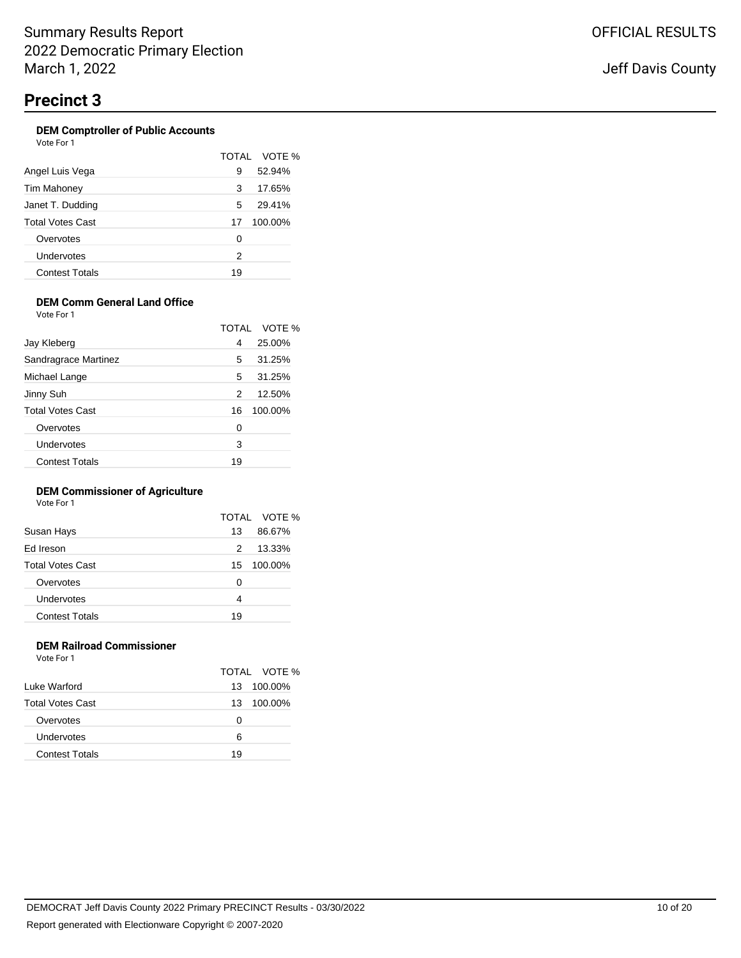#### **DEM Comptroller of Public Accounts** Vote For 1

| , , , , , , , , ,     |    |              |
|-----------------------|----|--------------|
|                       |    | TOTAL VOTE % |
| Angel Luis Vega       | 9  | 52.94%       |
| Tim Mahoney           | 3  | 17.65%       |
| Janet T. Dudding      | 5  | 29.41%       |
| Total Votes Cast      | 17 | 100.00%      |
| Overvotes             | 0  |              |
| Undervotes            | 2  |              |
| <b>Contest Totals</b> | 19 |              |

# **DEM Comm General Land Office**

Vote For 1

|                         |    | TOTAL VOTE % |
|-------------------------|----|--------------|
| Jay Kleberg             | 4  | 25.00%       |
| Sandragrace Martinez    | 5  | 31.25%       |
| Michael Lange           | 5  | 31.25%       |
| Jinny Suh               | 2  | 12.50%       |
| <b>Total Votes Cast</b> | 16 | 100.00%      |
| Overvotes               | 0  |              |
| Undervotes              | 3  |              |
| <b>Contest Totals</b>   | 19 |              |

### **DEM Commissioner of Agriculture**

Vote For 1

|                         |    | TOTAL VOTE % |
|-------------------------|----|--------------|
| Susan Hays              | 13 | 86.67%       |
| Ed Ireson               | 2  | 13.33%       |
| <b>Total Votes Cast</b> | 15 | 100.00%      |
| Overvotes               | 0  |              |
| Undervotes              | 4  |              |
| <b>Contest Totals</b>   | 19 |              |
|                         |    |              |

### **DEM Railroad Commissioner** Vote For 1

|                         |    | TOTAL VOTE % |
|-------------------------|----|--------------|
| Luke Warford            | 13 | 100.00%      |
| <b>Total Votes Cast</b> | 13 | 100.00%      |
| Overvotes               | Ω  |              |
| Undervotes              | 6  |              |
| <b>Contest Totals</b>   | 19 |              |
|                         |    |              |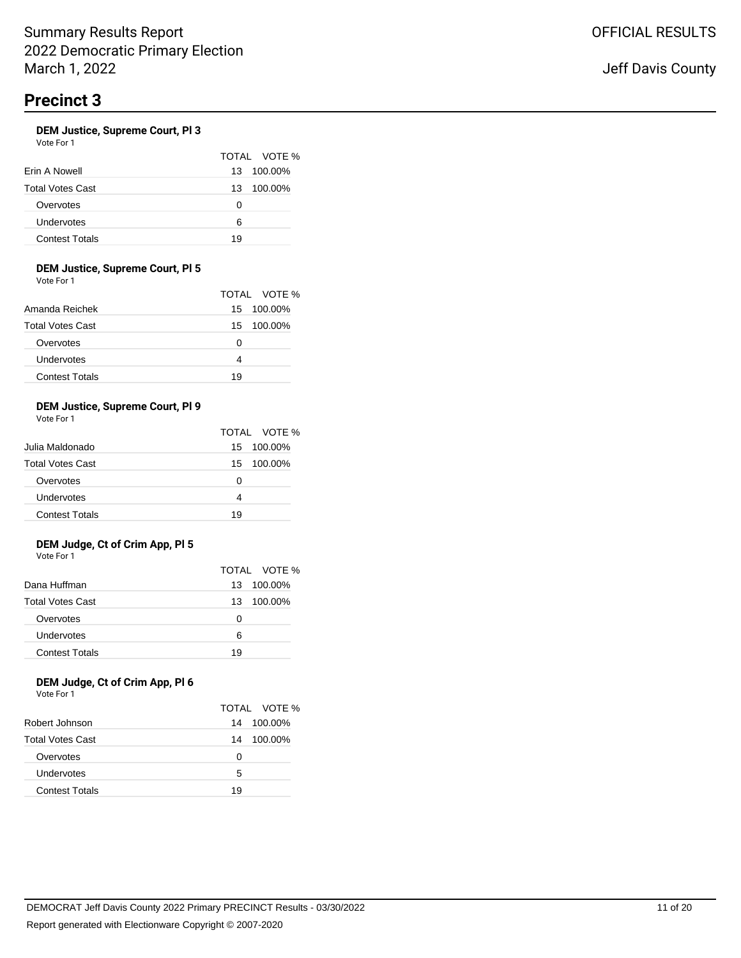### **DEM Justice, Supreme Court, Pl 3**

Vote For 1

|                         |     | TOTAL VOTE % |
|-------------------------|-----|--------------|
| Erin A Nowell           | 13  | 100.00%      |
| <b>Total Votes Cast</b> | 13. | 100.00%      |
| Overvotes               | O   |              |
| Undervotes              | 6   |              |
| <b>Contest Totals</b>   | 19  |              |

### **DEM Justice, Supreme Court, Pl 5**

Vote For 1

|                         |    | TOTAL VOTE % |
|-------------------------|----|--------------|
| Amanda Reichek          |    | 15 100.00%   |
| <b>Total Votes Cast</b> |    | 15 100.00%   |
| Overvotes               | O  |              |
| Undervotes              | 4  |              |
| <b>Contest Totals</b>   | 19 |              |

### **DEM Justice, Supreme Court, Pl 9**

Vote For 1

|                         |     | TOTAL VOTE % |
|-------------------------|-----|--------------|
| Julia Maldonado         | 15. | 100.00%      |
| <b>Total Votes Cast</b> |     | 15 100.00%   |
| Overvotes               | O   |              |
| Undervotes              | 4   |              |
| <b>Contest Totals</b>   | 19  |              |

### **DEM Judge, Ct of Crim App, Pl 5** Vote For 1

|                         |    | TOTAL VOTE % |
|-------------------------|----|--------------|
| Dana Huffman            | 13 | 100.00%      |
| <b>Total Votes Cast</b> | 13 | 100.00%      |
| Overvotes               | Ω  |              |
| Undervotes              | 6  |              |
| <b>Contest Totals</b>   | 19 |              |

### **DEM Judge, Ct of Crim App, Pl 6** Vote For 1

|                         |    | TOTAL VOTE % |
|-------------------------|----|--------------|
| Robert Johnson          | 14 | 100.00%      |
| <b>Total Votes Cast</b> | 14 | 100.00%      |
| Overvotes               | Ω  |              |
| Undervotes              | 5  |              |
| <b>Contest Totals</b>   | 19 |              |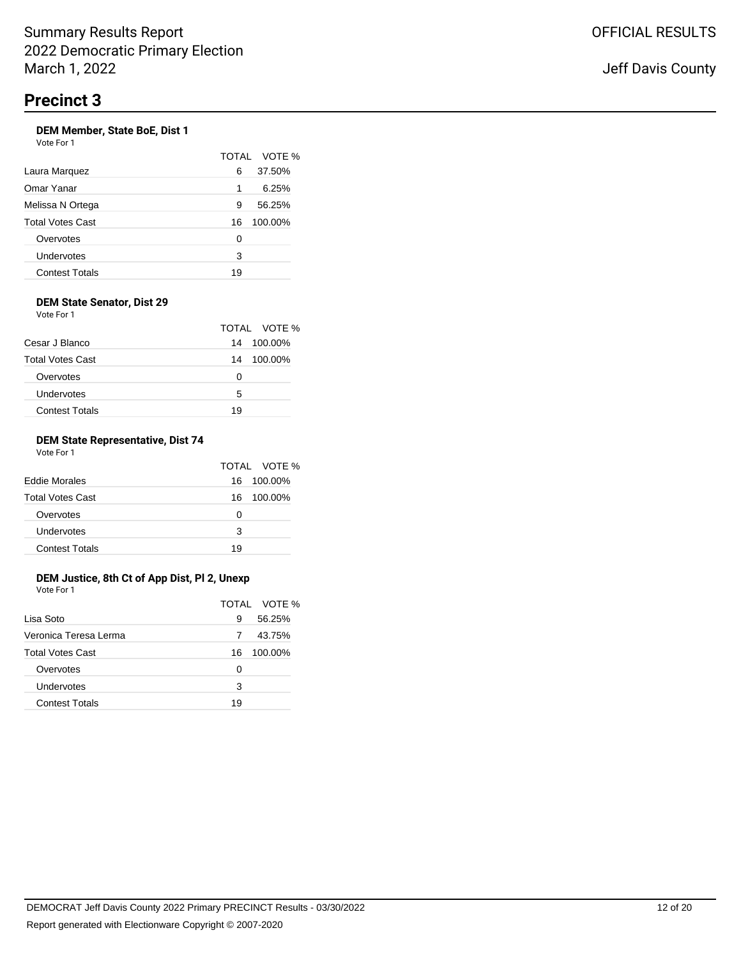### **DEM Member, State BoE, Dist 1** Vote For 1

|                       |    | TOTAL VOTE % |
|-----------------------|----|--------------|
| Laura Marquez         | 6  | 37.50%       |
| Omar Yanar            | 1  | 6.25%        |
| Melissa N Ortega      | 9  | 56.25%       |
| Total Votes Cast      | 16 | 100.00%      |
| Overvotes             | 0  |              |
| Undervotes            | 3  |              |
| <b>Contest Totals</b> | 19 |              |

#### **DEM State Senator, Dist 29** Vote For 1

|                         |    | TOTAL VOTE |
|-------------------------|----|------------|
| Cesar J Blanco          | 14 | 100.00%    |
| <b>Total Votes Cast</b> | 14 | 100.00%    |
| Overvotes               | O  |            |
| Undervotes              | 5  |            |
| <b>Contest Totals</b>   | 19 |            |

 $\%$ 

### **DEM State Representative, Dist 74** Vote For 1

|                         |    | TOTAL VOTE % |
|-------------------------|----|--------------|
| <b>Eddie Morales</b>    | 16 | 100.00%      |
| <b>Total Votes Cast</b> | 16 | 100.00%      |
| Overvotes               | O  |              |
| Undervotes              | з  |              |
| <b>Contest Totals</b>   | 19 |              |

#### **DEM Justice, 8th Ct of App Dist, Pl 2, Unexp** Vote For 1

|                         |    | TOTAL VOTE % |
|-------------------------|----|--------------|
| Lisa Soto               | 9  | 56.25%       |
| Veronica Teresa Lerma   |    | 43.75%       |
| <b>Total Votes Cast</b> | 16 | 100.00%      |
| Overvotes               | 0  |              |
| Undervotes              | 3  |              |
| <b>Contest Totals</b>   | 19 |              |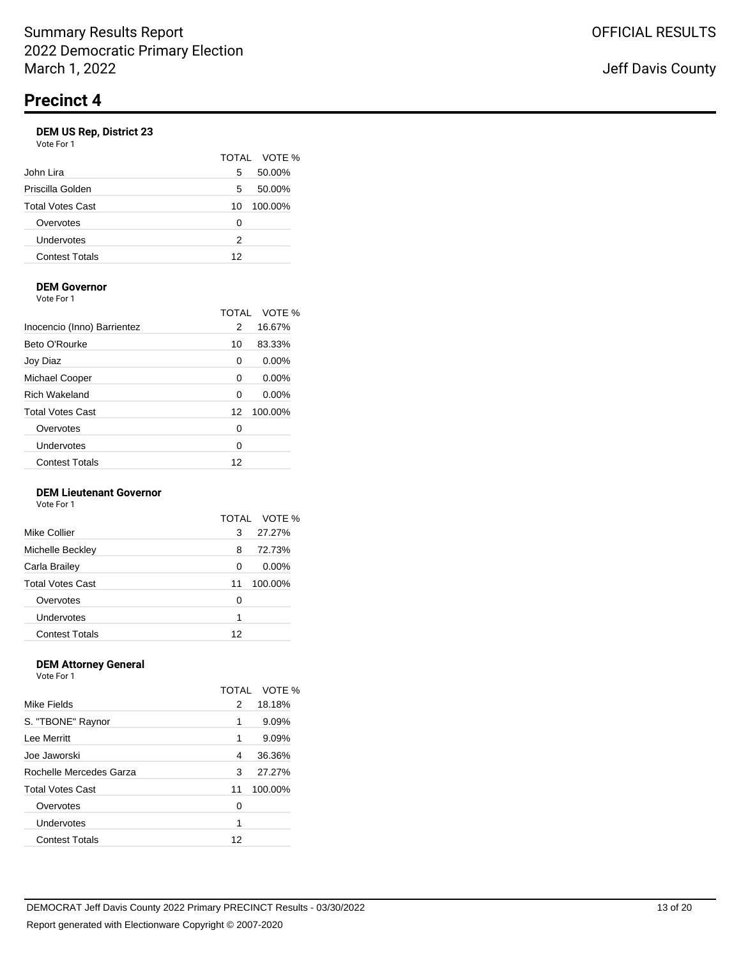# **DEM US Rep, District 23**

| Vote For 1              |    |            |
|-------------------------|----|------------|
|                         |    | TOTAL VOTE |
| John Lira               | 5  | 50.00%     |
| Priscilla Golden        | 5  | 50.00%     |
| <b>Total Votes Cast</b> | 10 | 100.00%    |
| Overvotes               | 0  |            |
| Undervotes              | 2  |            |
| <b>Contest Totals</b>   | 12 |            |
|                         |    |            |

 $\%$ 

# **DEM Governor**

Vote For 1

|                             | TOTAL | VOTE %   |
|-----------------------------|-------|----------|
| Inocencio (Inno) Barrientez | 2     | 16.67%   |
| Beto O'Rourke               | 10    | 83.33%   |
| Joy Diaz                    | 0     | $0.00\%$ |
| Michael Cooper              | 0     | 0.00%    |
| <b>Rich Wakeland</b>        | 0     | $0.00\%$ |
| <b>Total Votes Cast</b>     | 12    | 100.00%  |
| Overvotes                   | 0     |          |
| Undervotes                  | 0     |          |
| <b>Contest Totals</b>       | 12    |          |
|                             |       |          |

### **DEM Lieutenant Governor**

Vote For 1

|                         | TOTAI | VOTE %   |
|-------------------------|-------|----------|
| Mike Collier            | 3     | 27.27%   |
| Michelle Beckley        | 8     | 72.73%   |
| Carla Brailey           | 0     | $0.00\%$ |
| <b>Total Votes Cast</b> | 11    | 100.00%  |
| Overvotes               | 0     |          |
| Undervotes              | 1     |          |
| <b>Contest Totals</b>   | 12    |          |

### **DEM Attorney General**

| Vote For 1              |              |         |
|-------------------------|--------------|---------|
|                         | <b>TOTAL</b> | VOTF %  |
| Mike Fields             | 2            | 18.18%  |
| S. "TBONE" Raynor       | 1            | 9.09%   |
| Lee Merritt             | 1            | 9.09%   |
| Joe Jaworski            | 4            | 36.36%  |
| Rochelle Mercedes Garza | 3            | 27.27%  |
| <b>Total Votes Cast</b> | 11           | 100.00% |
| Overvotes               | 0            |         |
| Undervotes              | 1            |         |
| <b>Contest Totals</b>   | 12           |         |
|                         |              |         |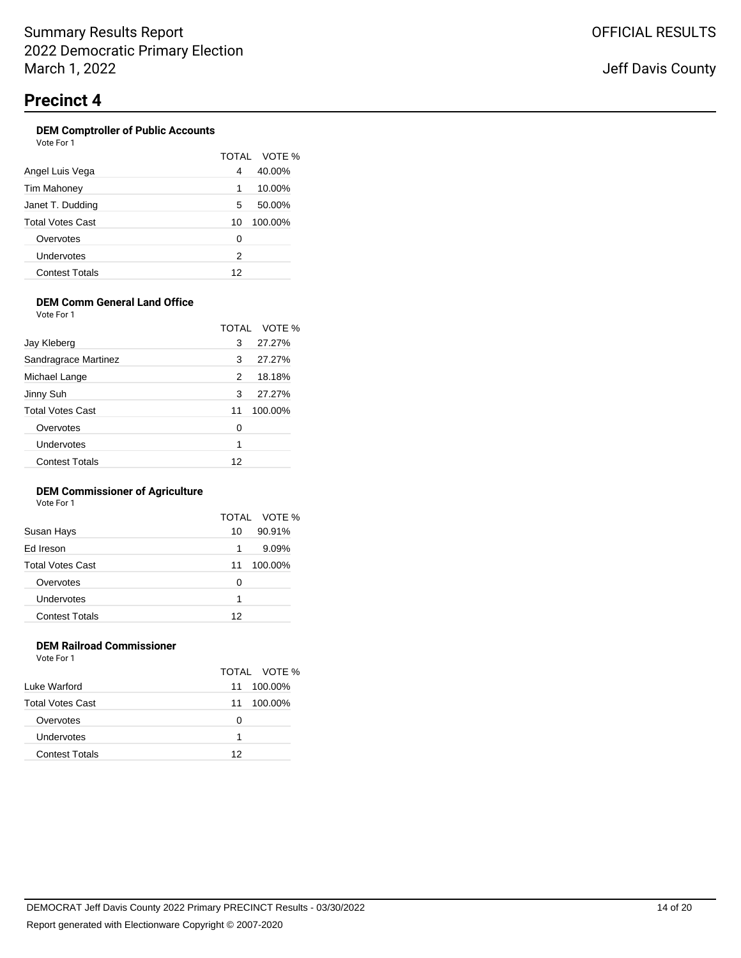#### **DEM Comptroller of Public Accounts** Vote For 1

|                       |    | TOTAL VOTE % |
|-----------------------|----|--------------|
| Angel Luis Vega       | 4  | 40.00%       |
| Tim Mahoney           | 1  | 10.00%       |
| Janet T. Dudding      | 5  | 50.00%       |
| Total Votes Cast      | 10 | 100.00%      |
| Overvotes             | 0  |              |
| Undervotes            | 2  |              |
| <b>Contest Totals</b> | 12 |              |

# **DEM Comm General Land Office**

Vote For 1

|                         |    | TOTAL VOTE % |
|-------------------------|----|--------------|
| Jay Kleberg             | 3  | 27.27%       |
| Sandragrace Martinez    | 3  | 27.27%       |
| Michael Lange           | 2  | 18.18%       |
| Jinny Suh               | 3  | 27.27%       |
| <b>Total Votes Cast</b> | 11 | 100.00%      |
| Overvotes               | 0  |              |
| Undervotes              | 1  |              |
| <b>Contest Totals</b>   | 12 |              |

### **DEM Commissioner of Agriculture**

Vote For 1

|                         |    | TOTAL VOTE % |
|-------------------------|----|--------------|
| Susan Hays              | 10 | 90.91%       |
| Ed Ireson               | 1  | 9.09%        |
| <b>Total Votes Cast</b> | 11 | 100.00%      |
| Overvotes               | 0  |              |
| Undervotes              | 1  |              |
| <b>Contest Totals</b>   | 12 |              |
|                         |    |              |

### **DEM Railroad Commissioner** Vote For 1

|                         |    | TOTAL VOTE % |
|-------------------------|----|--------------|
| Luke Warford            | 11 | 100.00%      |
| <b>Total Votes Cast</b> | 11 | 100.00%      |
| Overvotes               | O  |              |
| Undervotes              | 1  |              |
| <b>Contest Totals</b>   | 12 |              |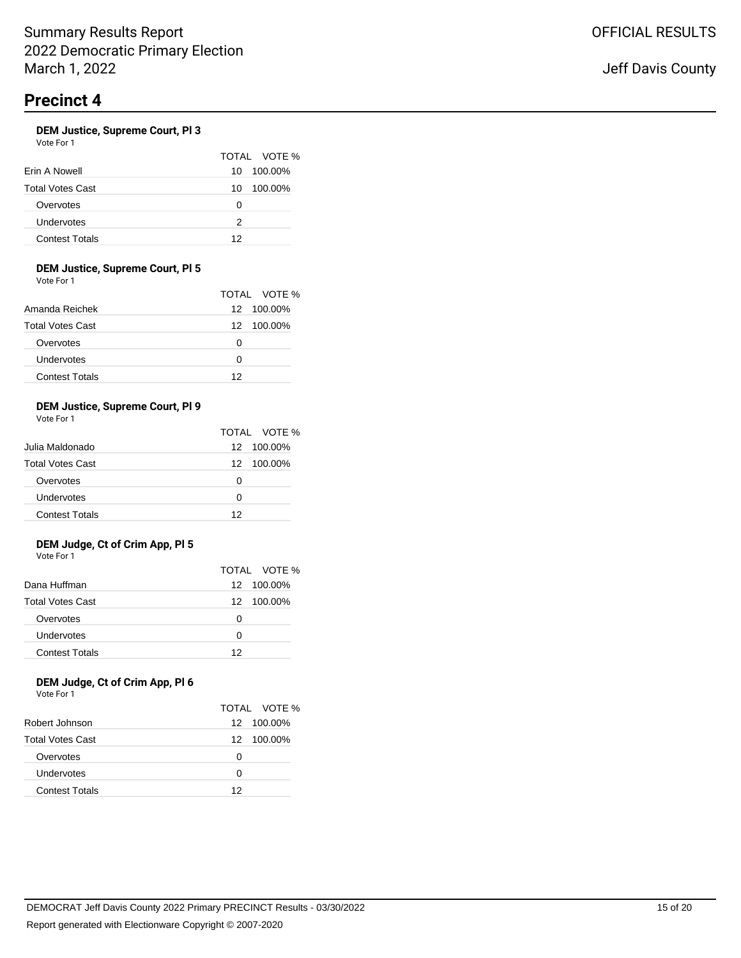### **DEM Justice, Supreme Court, Pl 3**

Vote For 1

|                         |     | TOTAL VOTE % |
|-------------------------|-----|--------------|
| Erin A Nowell           | 10. | 100.00%      |
| <b>Total Votes Cast</b> | 10  | 100.00%      |
| Overvotes               | O   |              |
| Undervotes              | 2   |              |
| <b>Contest Totals</b>   | 12  |              |

### **DEM Justice, Supreme Court, Pl 5**

Vote For 1

|                         |    | TOTAL VOTE % |
|-------------------------|----|--------------|
| Amanda Reichek          |    | 12 100.00%   |
| <b>Total Votes Cast</b> |    | 12 100.00%   |
| Overvotes               | O  |              |
| Undervotes              | O  |              |
| <b>Contest Totals</b>   | 12 |              |

### **DEM Justice, Supreme Court, Pl 9**

Vote For 1

|                         |    | TOTAL VOTE % |
|-------------------------|----|--------------|
| Julia Maldonado         |    | 12 100.00%   |
| <b>Total Votes Cast</b> |    | 12 100.00%   |
| Overvotes               | O  |              |
| Undervotes              | O  |              |
| <b>Contest Totals</b>   | 12 |              |

### **DEM Judge, Ct of Crim App, Pl 5** Vote For 1

|                         |    | TOTAL VOTE % |
|-------------------------|----|--------------|
| Dana Huffman            |    | 12 100.00%   |
| <b>Total Votes Cast</b> |    | 12 100.00%   |
| Overvotes               | O  |              |
| Undervotes              | O  |              |
| <b>Contest Totals</b>   | 12 |              |

### **DEM Judge, Ct of Crim App, Pl 6** Vote For 1

|                         |    | TOTAL VOTE % |
|-------------------------|----|--------------|
| Robert Johnson          |    | 12 100.00%   |
| <b>Total Votes Cast</b> |    | 12 100.00%   |
| Overvotes               | Ω  |              |
| Undervotes              | O  |              |
| <b>Contest Totals</b>   | 12 |              |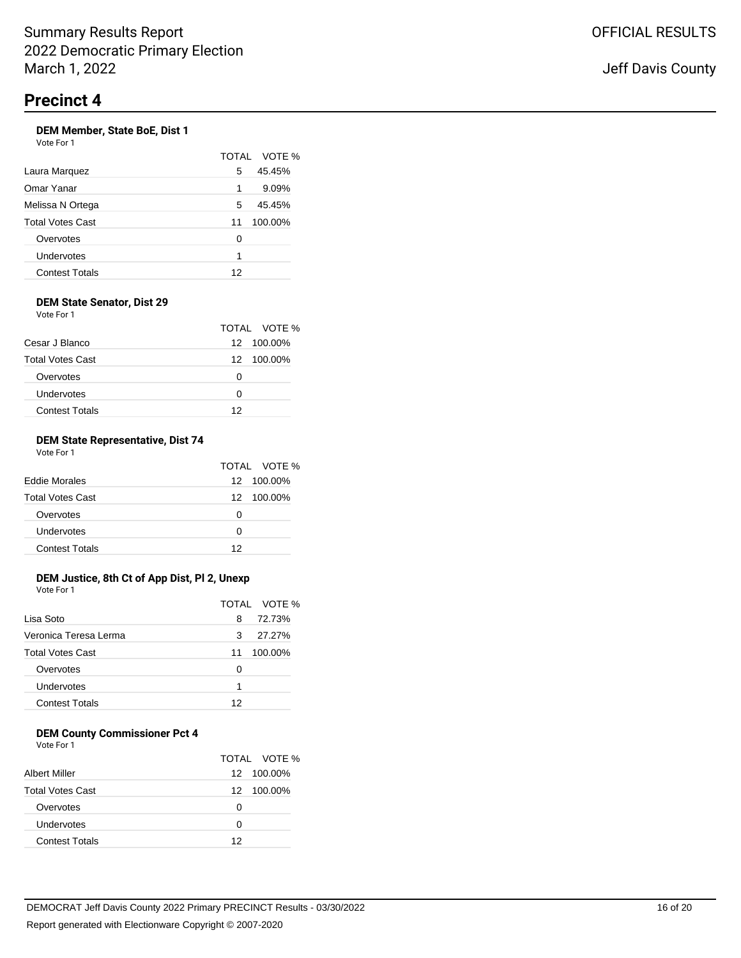### **DEM Member, State BoE, Dist 1**

| Vote For 1 |  |
|------------|--|
|            |  |

|                       | <b>TOTAL</b> | VOTE %  |
|-----------------------|--------------|---------|
| Laura Marquez         | 5            | 45.45%  |
| Omar Yanar            | 1            | 9.09%   |
| Melissa N Ortega      | 5            | 45.45%  |
| Total Votes Cast      | 11           | 100.00% |
| Overvotes             | 0            |         |
| Undervotes            | 1            |         |
| <b>Contest Totals</b> | 12           |         |

### **DEM State Senator, Dist 29** Vote For 1

|                         |    | TOTAL VOTE % |
|-------------------------|----|--------------|
| Cesar J Blanco          |    | 12 100.00%   |
| <b>Total Votes Cast</b> |    | 12 100.00%   |
| Overvotes               | 0  |              |
| Undervotes              | O  |              |
| <b>Contest Totals</b>   | 12 |              |

### **DEM State Representative, Dist 74** Vote For 1

|                         |    | TOTAL VOTE % |
|-------------------------|----|--------------|
| <b>Eddie Morales</b>    |    | 12 100.00%   |
| <b>Total Votes Cast</b> |    | 12 100.00%   |
| Overvotes               | O  |              |
| Undervotes              | O  |              |
| <b>Contest Totals</b>   | 12 |              |

# **DEM Justice, 8th Ct of App Dist, Pl 2, Unexp**

Vote For 1

|                         |    | TOTAL VOTE % |
|-------------------------|----|--------------|
| Lisa Soto               | 8  | 72.73%       |
| Veronica Teresa Lerma   | 3  | 27.27%       |
| <b>Total Votes Cast</b> | 11 | 100.00%      |
| Overvotes               | Ω  |              |
| Undervotes              | 1  |              |
| <b>Contest Totals</b>   | 12 |              |

# **DEM County Commissioner Pct 4**

Vote For 1

|                         |    | TOTAL VOTE % |
|-------------------------|----|--------------|
| Albert Miller           |    | 12 100.00%   |
| <b>Total Votes Cast</b> |    | 12 100.00%   |
| Overvotes               | Ω  |              |
| Undervotes              | O  |              |
| <b>Contest Totals</b>   | 12 |              |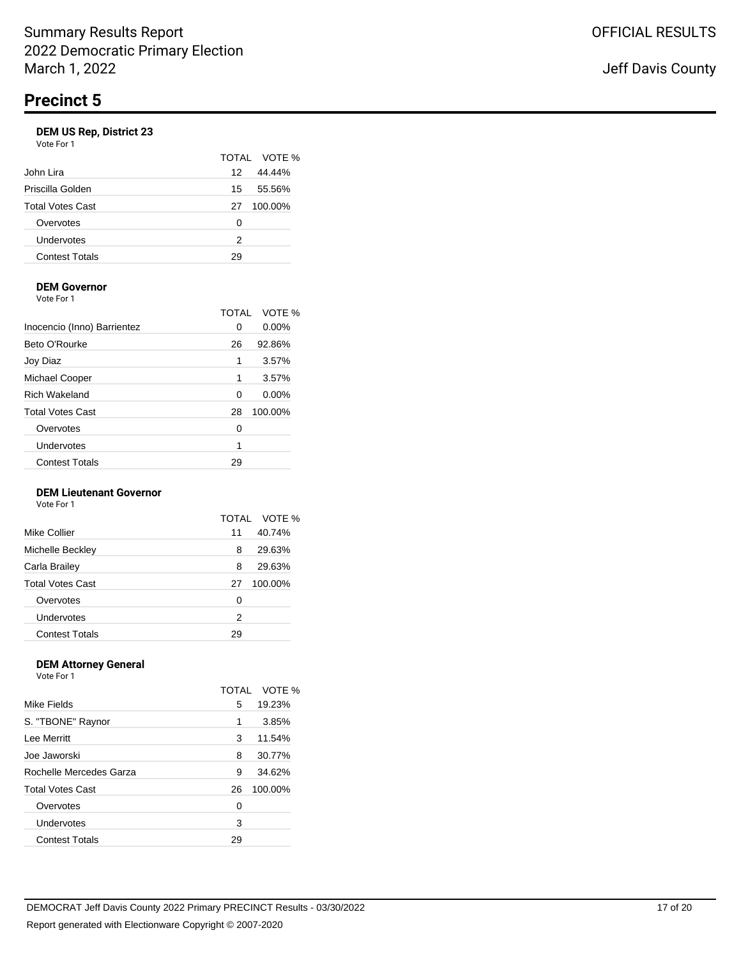|    | TOTAL VOTE % |
|----|--------------|
| 12 | 44.44%       |
| 15 | 55.56%       |
| 27 | 100.00%      |
| 0  |              |
| 2  |              |
| 29 |              |
|    |              |

# **DEM Governor**

Vote For 1

|                             | TOTAL | VOTE %   |
|-----------------------------|-------|----------|
| Inocencio (Inno) Barrientez | 0     | 0.00%    |
| Beto O'Rourke               | 26    | 92.86%   |
| Joy Diaz                    | 1     | 3.57%    |
| Michael Cooper              | 1     | 3.57%    |
| <b>Rich Wakeland</b>        | 0     | $0.00\%$ |
| <b>Total Votes Cast</b>     | 28    | 100.00%  |
| Overvotes                   | 0     |          |
| Undervotes                  | 1     |          |
| <b>Contest Totals</b>       | 29    |          |

### **DEM Lieutenant Governor**

Vote For 1

|                         |    | TOTAL VOTE % |
|-------------------------|----|--------------|
| Mike Collier            | 11 | 40.74%       |
| Michelle Beckley        | 8  | 29.63%       |
| Carla Brailey           | 8  | 29.63%       |
| <b>Total Votes Cast</b> | 27 | 100.00%      |
| Overvotes               | O  |              |
| Undervotes              | 2  |              |
| <b>Contest Totals</b>   | 29 |              |

#### **DEM Attorney General** Vote For 1

| VOLE FOI T              |              |         |
|-------------------------|--------------|---------|
|                         | <b>TOTAL</b> | VOTE %  |
| Mike Fields             | 5            | 19.23%  |
| S. "TBONE" Raynor       | 1            | 3.85%   |
| Lee Merritt             | 3            | 11.54%  |
| Joe Jaworski            | 8            | 30.77%  |
| Rochelle Mercedes Garza | 9            | 34.62%  |
| <b>Total Votes Cast</b> | 26           | 100.00% |
| Overvotes               | 0            |         |
| Undervotes              | 3            |         |
| <b>Contest Totals</b>   | 29           |         |
|                         |              |         |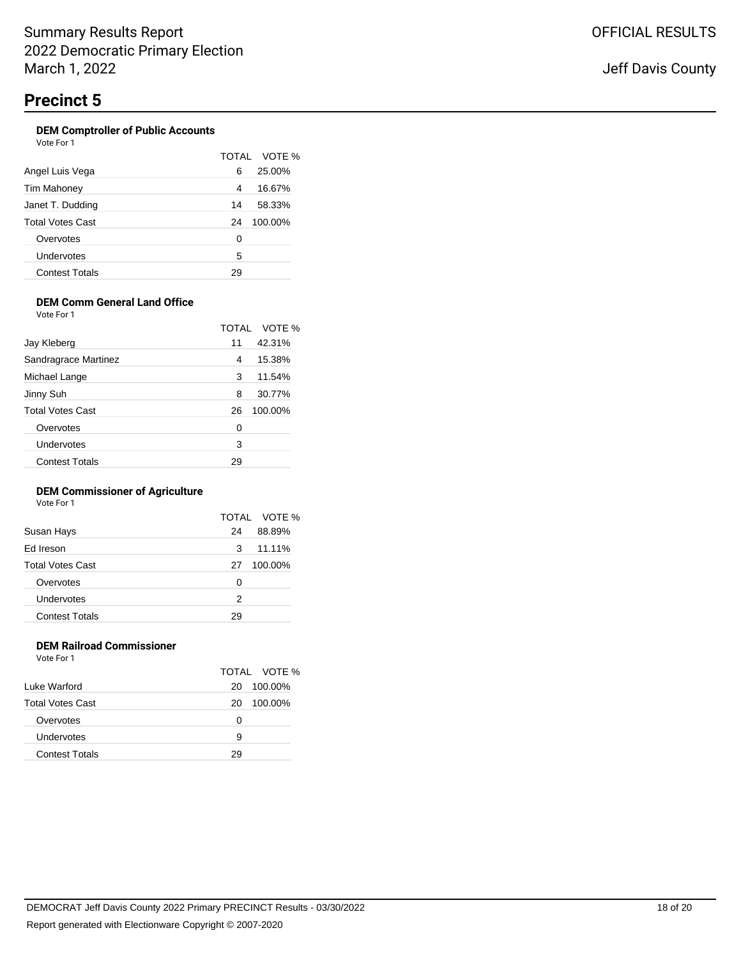### **DEM Comptroller of Public Accounts**

| Vote For 1              |       |         |
|-------------------------|-------|---------|
|                         | TOTAL | VOTE    |
| Angel Luis Vega         | 6     | 25.00%  |
| Tim Mahoney             | 4     | 16.67%  |
| Janet T. Dudding        | 14    | 58.33%  |
| <b>Total Votes Cast</b> | 24    | 100.00% |
| Overvotes               | 0     |         |
| Undervotes              | 5     |         |
| <b>Contest Totals</b>   | 29    |         |
|                         |       |         |

 $\%$ 

# **DEM Comm General Land Office**

Vote For 1

|                         | <b>TOTAL</b> | VOTE %  |
|-------------------------|--------------|---------|
| Jay Kleberg             | 11           | 42.31%  |
| Sandragrace Martinez    | 4            | 15.38%  |
| Michael Lange           | 3            | 11.54%  |
| Jinny Suh               | 8            | 30.77%  |
| <b>Total Votes Cast</b> | 26           | 100.00% |
| Overvotes               | 0            |         |
| Undervotes              | 3            |         |
| <b>Contest Totals</b>   | 29           |         |

### **DEM Commissioner of Agriculture**

Vote For 1

|                         |    | TOTAL VOTE % |
|-------------------------|----|--------------|
| Susan Hays              | 24 | 88.89%       |
| Ed Ireson               | 3  | 11.11%       |
| <b>Total Votes Cast</b> | 27 | 100.00%      |
| Overvotes               | 0  |              |
| Undervotes              | 2  |              |
| <b>Contest Totals</b>   | 29 |              |
|                         |    |              |

### **DEM Railroad Commissioner** Vote For 1

| Luke Warford            | 20 | TOTAL VOTE %<br>100.00% |
|-------------------------|----|-------------------------|
| <b>Total Votes Cast</b> | 20 | 100.00%                 |
| Overvotes               | Ω  |                         |
| Undervotes              | 9  |                         |
| Contest Totals          | 29 |                         |

Report generated with Electionware Copyright © 2007-2020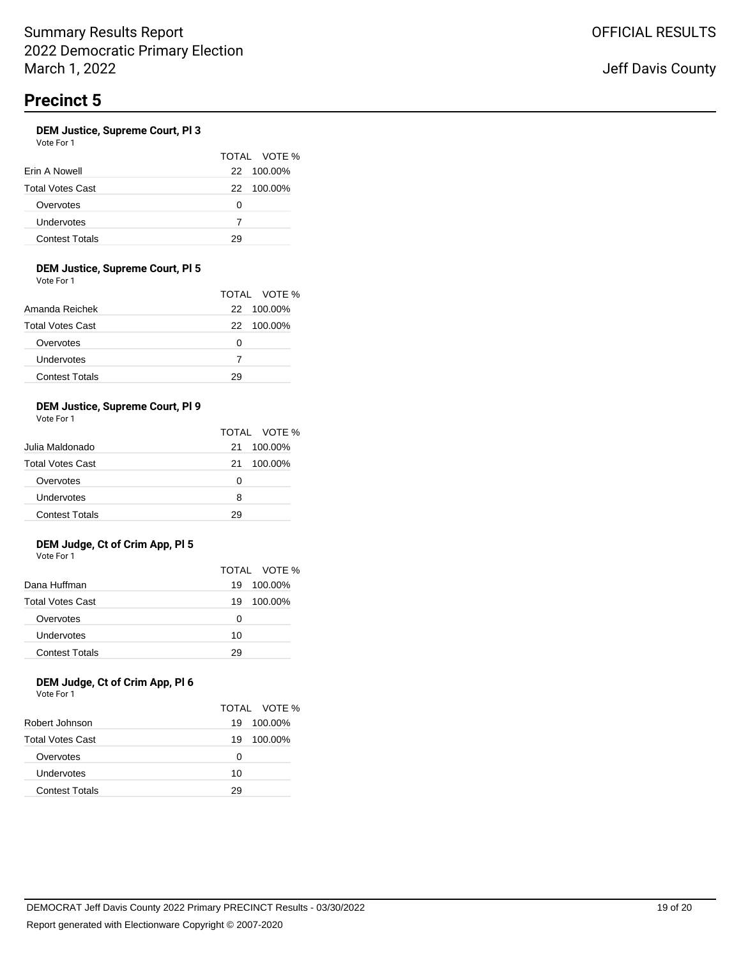### **DEM Justice, Supreme Court, Pl 3**

Vote For 1

|                         |   | TOTAL VOTE % |
|-------------------------|---|--------------|
| Erin A Nowell           |   | 22 100.00%   |
| <b>Total Votes Cast</b> |   | 22 100.00%   |
| Overvotes               | O |              |
| Undervotes              | 7 |              |
| <b>Contest Totals</b>   |   |              |

### **DEM Justice, Supreme Court, Pl 5**

Vote For 1

|                         |    | TOTAL VOTE % |
|-------------------------|----|--------------|
| Amanda Reichek          |    | 22 100.00%   |
| <b>Total Votes Cast</b> |    | 22 100.00%   |
| Overvotes               | Ω  |              |
| Undervotes              |    |              |
| <b>Contest Totals</b>   | 29 |              |

### **DEM Justice, Supreme Court, Pl 9**

Vote For 1

|                         |    | TOTAL VOTE % |
|-------------------------|----|--------------|
| Julia Maldonado         | 21 | 100.00%      |
| <b>Total Votes Cast</b> | 21 | 100.00%      |
| Overvotes               | O  |              |
| Undervotes              | 8  |              |
| <b>Contest Totals</b>   | 29 |              |

### **DEM Judge, Ct of Crim App, Pl 5** Vote For 1

|                         |    | TOTAL VOTE % |
|-------------------------|----|--------------|
| Dana Huffman            | 19 | 100.00%      |
| <b>Total Votes Cast</b> | 19 | 100.00%      |
| Overvotes               | 0  |              |
| Undervotes              | 10 |              |
| <b>Contest Totals</b>   | 29 |              |

### **DEM Judge, Ct of Crim App, Pl 6** Vote For 1

|                         |    | TOTAL VOTE % |
|-------------------------|----|--------------|
| Robert Johnson          | 19 | 100.00%      |
| <b>Total Votes Cast</b> | 19 | 100.00%      |
| Overvotes               | Ω  |              |
| Undervotes              | 10 |              |
| <b>Contest Totals</b>   | 29 |              |